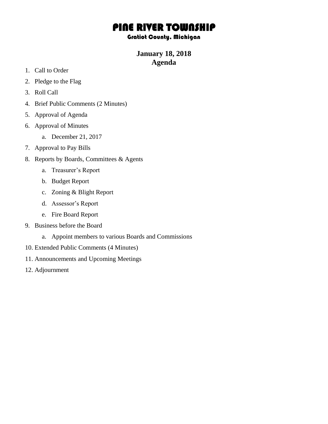## PINE RIVER TOWNSHIP

## Gratiot County, Michigan

## **January 18, 2018 Agenda**

- 1. Call to Order
- 2. Pledge to the Flag
- 3. Roll Call
- 4. Brief Public Comments (2 Minutes)
- 5. Approval of Agenda
- 6. Approval of Minutes
	- a. December 21, 2017
- 7. Approval to Pay Bills
- 8. Reports by Boards, Committees & Agents
	- a. Treasurer's Report
	- b. Budget Report
	- c. Zoning & Blight Report
	- d. Assessor's Report
	- e. Fire Board Report
- 9. Business before the Board
	- a. Appoint members to various Boards and Commissions
- 10. Extended Public Comments (4 Minutes)
- 11. Announcements and Upcoming Meetings
- 12. Adjournment